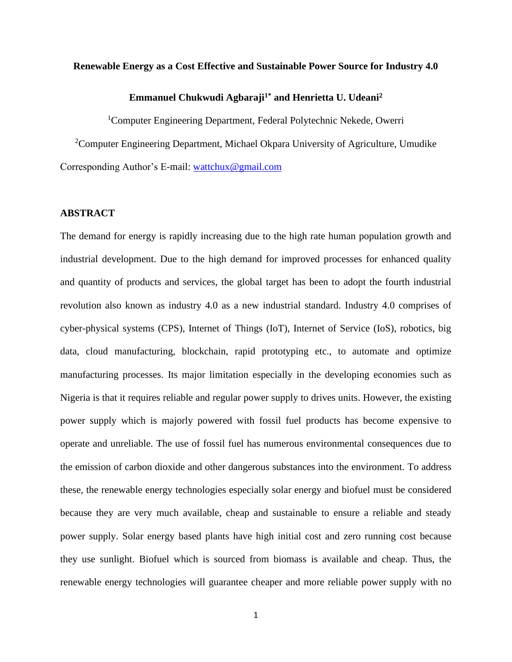#### **Renewable Energy as a Cost Effective and Sustainable Power Source for Industry 4.0**

# **Emmanuel Chukwudi Agbaraji1\* and Henrietta U. Udeani<sup>2</sup>**

<sup>1</sup>Computer Engineering Department, Federal Polytechnic Nekede, Owerri

<sup>2</sup>Computer Engineering Department, Michael Okpara University of Agriculture, Umudike Corresponding Author's E-mail: [wattchux@gmail.com](mailto:wattchux@gmail.com)

#### **ABSTRACT**

The demand for energy is rapidly increasing due to the high rate human population growth and industrial development. Due to the high demand for improved processes for enhanced quality and quantity of products and services, the global target has been to adopt the fourth industrial revolution also known as industry 4.0 as a new industrial standard. Industry 4.0 comprises of cyber-physical systems (CPS), Internet of Things (IoT), Internet of Service (IoS), robotics, big data, cloud manufacturing, blockchain, rapid prototyping etc., to automate and optimize manufacturing processes. Its major limitation especially in the developing economies such as Nigeria is that it requires reliable and regular power supply to drives units. However, the existing power supply which is majorly powered with fossil fuel products has become expensive to operate and unreliable. The use of fossil fuel has numerous environmental consequences due to the emission of carbon dioxide and other dangerous substances into the environment. To address these, the renewable energy technologies especially solar energy and biofuel must be considered because they are very much available, cheap and sustainable to ensure a reliable and steady power supply. Solar energy based plants have high initial cost and zero running cost because they use sunlight. Biofuel which is sourced from biomass is available and cheap. Thus, the renewable energy technologies will guarantee cheaper and more reliable power supply with no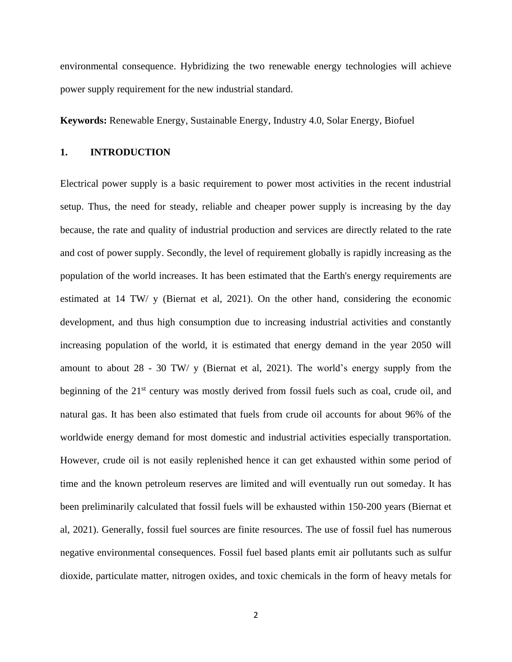environmental consequence. Hybridizing the two renewable energy technologies will achieve power supply requirement for the new industrial standard.

**Keywords:** Renewable Energy, Sustainable Energy, Industry 4.0, Solar Energy, Biofuel

## **1. INTRODUCTION**

Electrical power supply is a basic requirement to power most activities in the recent industrial setup. Thus, the need for steady, reliable and cheaper power supply is increasing by the day because, the rate and quality of industrial production and services are directly related to the rate and cost of power supply. Secondly, the level of requirement globally is rapidly increasing as the population of the world increases. It has been estimated that the Earth's energy requirements are estimated at 14 TW/ y (Biernat et al, 2021). On the other hand, considering the economic development, and thus high consumption due to increasing industrial activities and constantly increasing population of the world, it is estimated that energy demand in the year 2050 will amount to about 28 - 30 TW/ y (Biernat et al, 2021). The world's energy supply from the beginning of the 21<sup>st</sup> century was mostly derived from fossil fuels such as coal, crude oil, and natural gas. It has been also estimated that fuels from crude oil accounts for about 96% of the worldwide energy demand for most domestic and industrial activities especially transportation. However, crude oil is not easily replenished hence it can get exhausted within some period of time and the known petroleum reserves are limited and will eventually run out someday. It has been preliminarily calculated that fossil fuels will be exhausted within 150-200 years (Biernat et al, 2021). Generally, fossil fuel sources are finite resources. The use of fossil fuel has numerous negative environmental consequences. Fossil fuel based plants emit air pollutants such as sulfur dioxide, particulate matter, nitrogen oxides, and toxic chemicals in the form of heavy metals for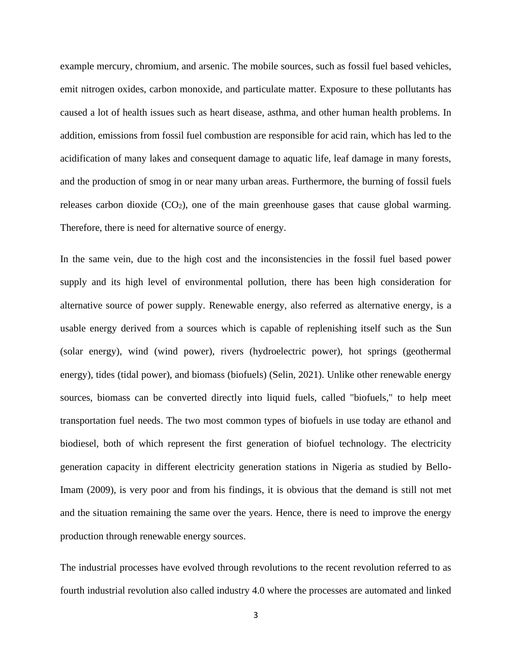example mercury, chromium, and [arsenic.](https://www.britannica.com/science/arsenic) The mobile sources, such as fossil fuel based vehicles, emit nitrogen oxides, carbon monoxide, and particulate matter. Exposure to these pollutants has caused a lot of health issues such as heart disease, asthma, and other human health problems. In addition, emissions from fossil fuel combustion are responsible for acid rain, which has led to the acidification of many lakes and consequent damage to aquatic life, leaf damage in many forests, and the production of smog in or near many urban areas. Furthermore, the burning of fossil fuels releases carbon dioxide  $(CO<sub>2</sub>)$ , one of the main greenhouse gases that cause global warming. Therefore, there is need for alternative source of energy.

In the same vein, due to the high cost and the inconsistencies in the fossil fuel based power supply and its high level of environmental pollution, there has been high consideration for alternative source of power supply. Renewable energy, also referred as alternative energy, is a usable energy derived from a sources which is capable of replenishing itself such as the Sun (solar energy), wind (wind power), rivers (hydroelectric power), hot springs (geothermal energy), tides (tidal power), and biomass (biofuels) (Selin, 2021). Unlike other renewable energy sources, biomass can be converted directly into liquid fuels, called "biofuels," to help meet transportation fuel needs. The two most common types of biofuels in use today are ethanol and biodiesel, both of which represent the first generation of biofuel technology. The electricity generation capacity in different electricity generation stations in Nigeria as studied by Bello-Imam (2009), is very poor and from his findings, it is obvious that the demand is still not met and the situation remaining the same over the years. Hence, there is need to improve the energy production through renewable energy sources.

The industrial processes have evolved through revolutions to the recent revolution referred to as fourth industrial revolution also called industry 4.0 where the processes are automated and linked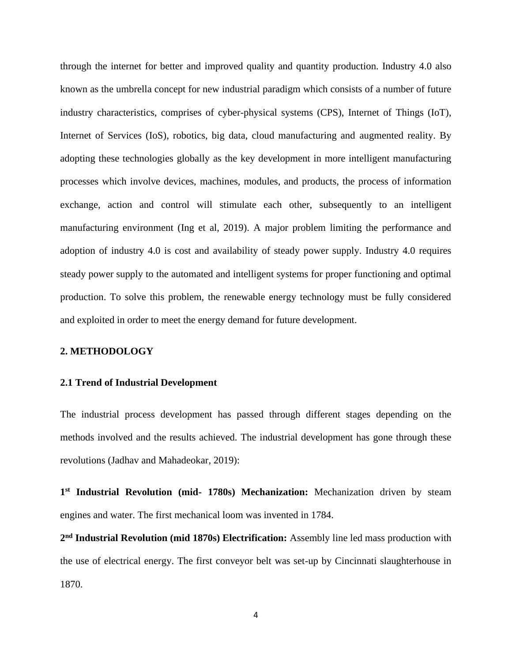through the internet for better and improved quality and quantity production. Industry 4.0 also known as the umbrella concept for new industrial paradigm which consists of a number of future industry characteristics, comprises of cyber-physical systems (CPS), Internet of Things (IoT), Internet of Services (IoS), robotics, big data, cloud manufacturing and augmented reality. By adopting these technologies globally as the key development in more intelligent manufacturing processes which involve devices, machines, modules, and products, the process of information exchange, action and control will stimulate each other, subsequently to an intelligent manufacturing environment (Ing et al, 2019). A major problem limiting the performance and adoption of industry 4.0 is cost and availability of steady power supply. Industry 4.0 requires steady power supply to the automated and intelligent systems for proper functioning and optimal production. To solve this problem, the renewable energy technology must be fully considered and exploited in order to meet the energy demand for future development.

### **2. METHODOLOGY**

#### **2.1 Trend of Industrial Development**

The industrial process development has passed through different stages depending on the methods involved and the results achieved. The industrial development has gone through these revolutions (Jadhav and Mahadeokar, 2019):

**1 st Industrial Revolution (mid- 1780s) Mechanization:** Mechanization driven by steam engines and water. The first mechanical loom was invented in 1784.

**2 nd Industrial Revolution (mid 1870s) Electrification:** Assembly line led mass production with the use of electrical energy. The first conveyor belt was set-up by Cincinnati slaughterhouse in 1870.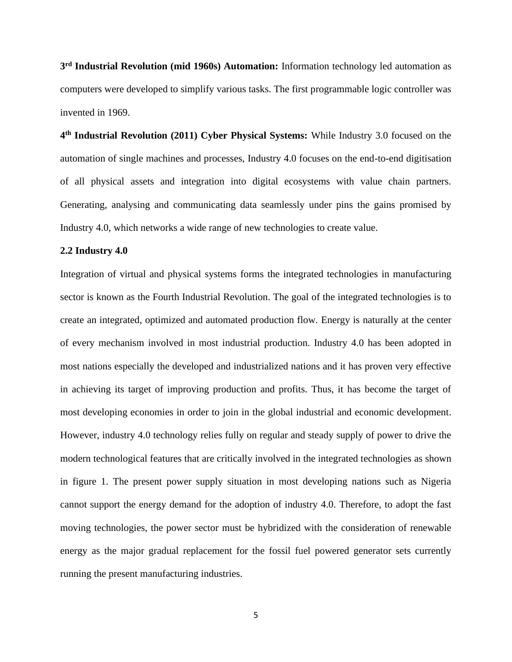**3 rd Industrial Revolution (mid 1960s) Automation:** Information technology led automation as computers were developed to simplify various tasks. The first programmable logic controller was invented in 1969.

**4 th Industrial Revolution (2011) Cyber Physical Systems:** While Industry 3.0 focused on the automation of single machines and processes, Industry 4.0 focuses on the end-to-end digitisation of all physical assets and integration into digital ecosystems with value chain partners. Generating, analysing and communicating data seamlessly under pins the gains promised by Industry 4.0, which networks a wide range of new technologies to create value.

#### **2.2 Industry 4.0**

Integration of virtual and physical systems forms the integrated technologies in manufacturing sector is known as the Fourth Industrial Revolution. The goal of the integrated technologies is to create an integrated, optimized and automated production flow. Energy is naturally at the center of every mechanism involved in most industrial production. Industry 4.0 has been adopted in most nations especially the developed and industrialized nations and it has proven very effective in achieving its target of improving production and profits. Thus, it has become the target of most developing economies in order to join in the global industrial and economic development. However, industry 4.0 technology relies fully on regular and steady supply of power to drive the modern technological features that are critically involved in the integrated technologies as shown in figure 1. The present power supply situation in most developing nations such as Nigeria cannot support the energy demand for the adoption of industry 4.0. Therefore, to adopt the fast moving technologies, the power sector must be hybridized with the consideration of renewable energy as the major gradual replacement for the fossil fuel powered generator sets currently running the present manufacturing industries.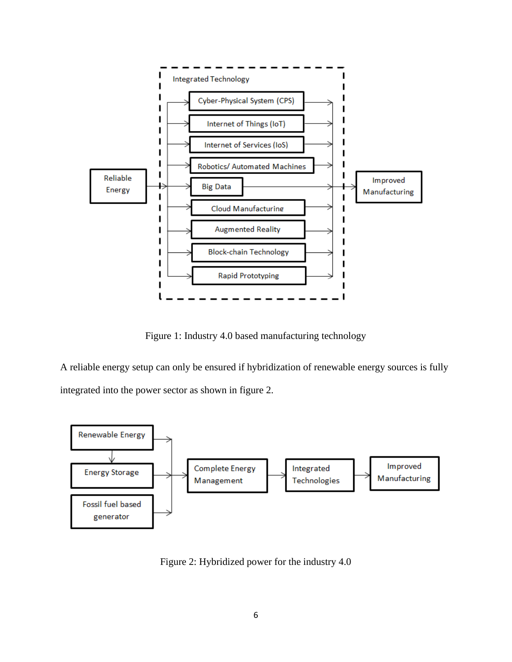

Figure 1: Industry 4.0 based manufacturing technology

A reliable energy setup can only be ensured if hybridization of renewable energy sources is fully integrated into the power sector as shown in figure 2.



Figure 2: Hybridized power for the industry 4.0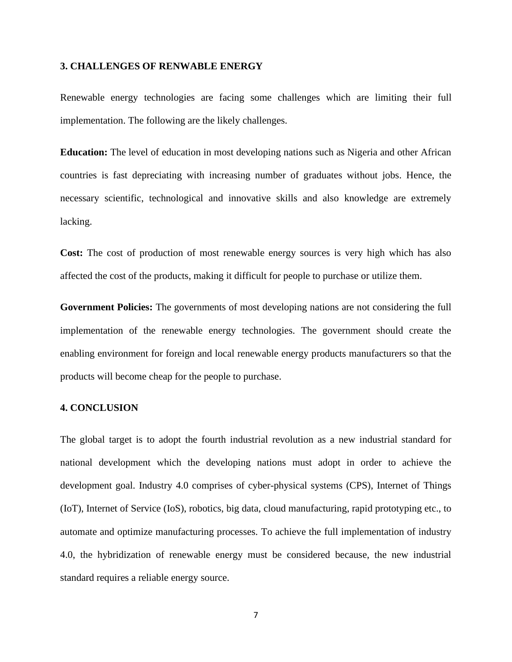#### **3. CHALLENGES OF RENWABLE ENERGY**

Renewable energy technologies are facing some challenges which are limiting their full implementation. The following are the likely challenges.

**Education:** The level of education in most developing nations such as Nigeria and other African countries is fast depreciating with increasing number of graduates without jobs. Hence, the necessary scientific, technological and innovative skills and also knowledge are extremely lacking.

**Cost:** The cost of production of most renewable energy sources is very high which has also affected the cost of the products, making it difficult for people to purchase or utilize them.

**Government Policies:** The governments of most developing nations are not considering the full implementation of the renewable energy technologies. The government should create the enabling environment for foreign and local renewable energy products manufacturers so that the products will become cheap for the people to purchase.

#### **4. CONCLUSION**

The global target is to adopt the fourth industrial revolution as a new industrial standard for national development which the developing nations must adopt in order to achieve the development goal. Industry 4.0 comprises of cyber-physical systems (CPS), Internet of Things (IoT), Internet of Service (IoS), robotics, big data, cloud manufacturing, rapid prototyping etc., to automate and optimize manufacturing processes. To achieve the full implementation of industry 4.0, the hybridization of renewable energy must be considered because, the new industrial standard requires a reliable energy source.